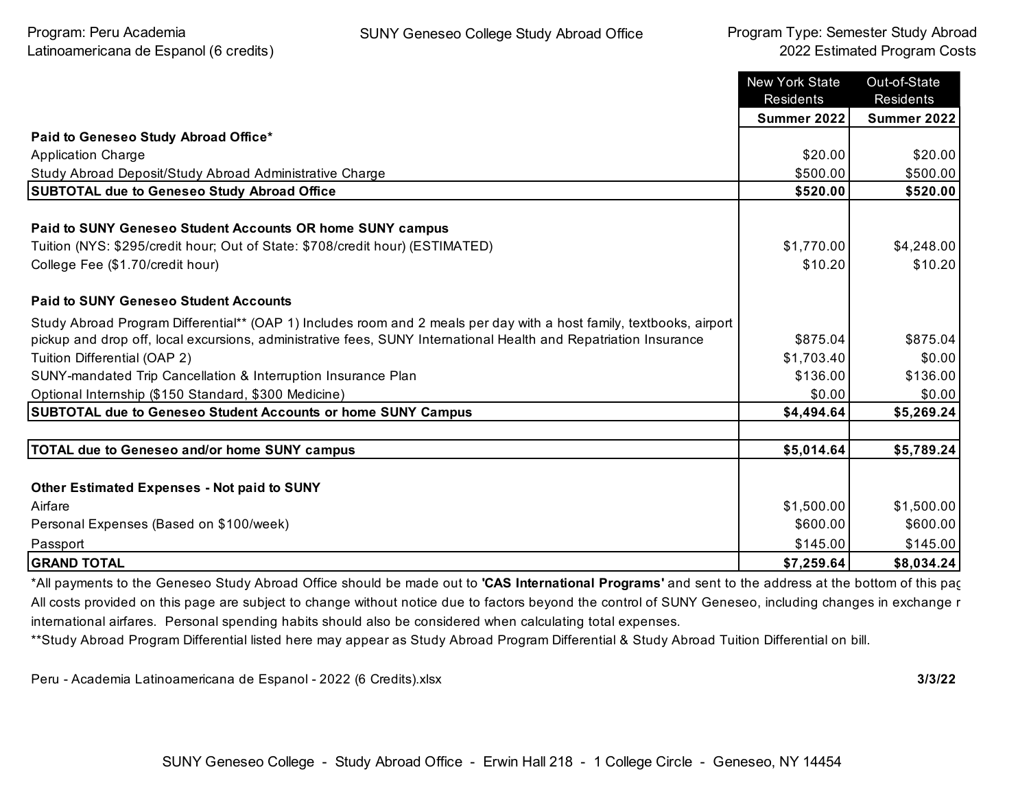|                                                                                                                                                                                                                                          | <b>New York State</b><br>Residents | Out-of-State<br>Residents |
|------------------------------------------------------------------------------------------------------------------------------------------------------------------------------------------------------------------------------------------|------------------------------------|---------------------------|
|                                                                                                                                                                                                                                          | Summer 2022                        | <b>Summer 2022</b>        |
| Paid to Geneseo Study Abroad Office*                                                                                                                                                                                                     |                                    |                           |
| <b>Application Charge</b>                                                                                                                                                                                                                | \$20.00                            | \$20.00                   |
| Study Abroad Deposit/Study Abroad Administrative Charge                                                                                                                                                                                  | \$500.00                           | \$500.00                  |
| <b>SUBTOTAL due to Geneseo Study Abroad Office</b>                                                                                                                                                                                       | \$520.00                           | \$520.00                  |
| Paid to SUNY Geneseo Student Accounts OR home SUNY campus<br>Tuition (NYS: \$295/credit hour; Out of State: \$708/credit hour) (ESTIMATED)                                                                                               | \$1,770.00                         | \$4,248.00                |
| College Fee (\$1.70/credit hour)                                                                                                                                                                                                         | \$10.20                            | \$10.20                   |
| <b>Paid to SUNY Geneseo Student Accounts</b>                                                                                                                                                                                             |                                    |                           |
| Study Abroad Program Differential** (OAP 1) Includes room and 2 meals per day with a host family, textbooks, airport<br>pickup and drop off, local excursions, administrative fees, SUNY International Health and Repatriation Insurance | \$875.04                           | \$875.04                  |
| Tuition Differential (OAP 2)                                                                                                                                                                                                             | \$1,703.40                         | \$0.00                    |
| SUNY-mandated Trip Cancellation & Interruption Insurance Plan                                                                                                                                                                            | \$136.00                           | \$136.00                  |
| Optional Internship (\$150 Standard, \$300 Medicine)                                                                                                                                                                                     | \$0.00                             | \$0.00                    |
| <b>SUBTOTAL due to Geneseo Student Accounts or home SUNY Campus</b>                                                                                                                                                                      | \$4,494.64                         | \$5,269.24                |
|                                                                                                                                                                                                                                          |                                    |                           |
| <b>TOTAL due to Geneseo and/or home SUNY campus</b>                                                                                                                                                                                      | \$5,014.64                         | \$5,789.24                |
|                                                                                                                                                                                                                                          |                                    |                           |
| <b>Other Estimated Expenses - Not paid to SUNY</b>                                                                                                                                                                                       |                                    |                           |
| Airfare                                                                                                                                                                                                                                  | \$1,500.00                         | \$1,500.00                |
| Personal Expenses (Based on \$100/week)                                                                                                                                                                                                  | \$600.00                           | \$600.00                  |
| Passport                                                                                                                                                                                                                                 | \$145.00                           | \$145.00                  |
| <b>GRAND TOTAL</b>                                                                                                                                                                                                                       | \$7,259.64                         | \$8,034.24                |

\*All payments to the Geneseo Study Abroad Office should be made out to **'CAS International Programs'** and sent to the address at the bottom of this page. All costs provided on this page are subject to change without notice due to factors beyond the control of SUNY Geneseo, including changes in exchange r international airfares. Personal spending habits should also be considered when calculating total expenses.

\*\*Study Abroad Program Differential listed here may appear as Study Abroad Program Differential & Study Abroad Tuition Differential on bill.

Peru - Academia Latinoamericana de Espanol - 2022 (6 Credits).xlsx **3/3/22**